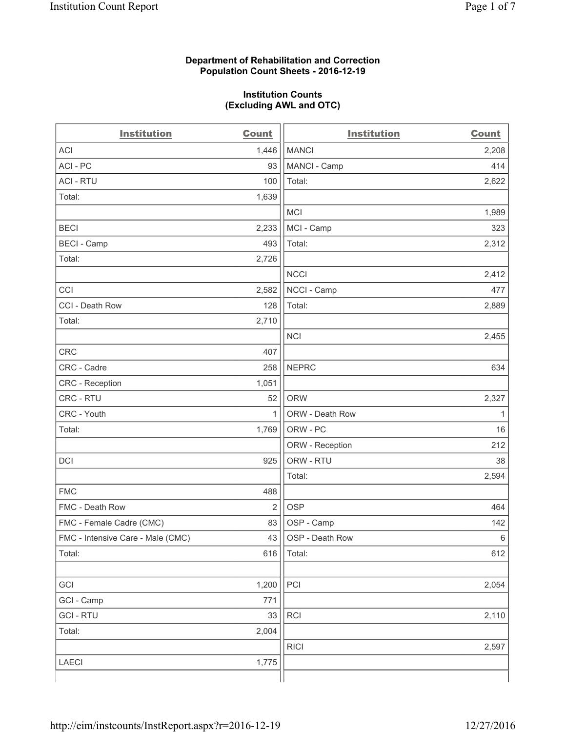#### **Department of Rehabilitation and Correction Population Count Sheets - 2016-12-19**

#### **Institution Counts (Excluding AWL and OTC)**

| <b>Institution</b>                | <b>Count</b> | <b>Institution</b> | <b>Count</b> |
|-----------------------------------|--------------|--------------------|--------------|
| <b>ACI</b>                        | 1,446        | <b>MANCI</b>       | 2,208        |
| ACI-PC                            | 93           | MANCI - Camp       | 414          |
| <b>ACI - RTU</b>                  | 100          | Total:             | 2,622        |
| Total:                            | 1,639        |                    |              |
|                                   |              | <b>MCI</b>         | 1,989        |
| <b>BECI</b>                       | 2,233        | MCI - Camp         | 323          |
| <b>BECI</b> - Camp                | 493          | Total:             | 2,312        |
| Total:                            | 2,726        |                    |              |
|                                   |              | <b>NCCI</b>        | 2,412        |
| CCI                               | 2,582        | NCCI - Camp        | 477          |
| CCI - Death Row                   | 128          | Total:             | 2,889        |
| Total:                            | 2,710        |                    |              |
|                                   |              | <b>NCI</b>         | 2,455        |
| <b>CRC</b>                        | 407          |                    |              |
| CRC - Cadre                       | 258          | <b>NEPRC</b>       | 634          |
| CRC - Reception                   | 1,051        |                    |              |
| CRC - RTU                         | 52           | <b>ORW</b>         | 2,327        |
| CRC - Youth                       | $\mathbf{1}$ | ORW - Death Row    | 1            |
| Total:                            | 1,769        | ORW - PC           | 16           |
|                                   |              | ORW - Reception    | 212          |
| DCI                               | 925          | ORW - RTU          | 38           |
|                                   |              | Total:             | 2,594        |
| <b>FMC</b>                        | 488          |                    |              |
| FMC - Death Row                   | 2            | <b>OSP</b>         | 464          |
| FMC - Female Cadre (CMC)          | 83           | OSP - Camp         | 142          |
| FMC - Intensive Care - Male (CMC) | 43           | OSP - Death Row    | 6            |
| Total:                            | 616          | Total:             | 612          |
|                                   |              |                    |              |
| GCI                               | 1,200        | PCI                | 2,054        |
| GCI - Camp                        | 771          |                    |              |
| <b>GCI-RTU</b>                    | 33           | RCI                | 2,110        |
| Total:                            | 2,004        |                    |              |
|                                   |              | <b>RICI</b>        | 2,597        |
| <b>LAECI</b>                      | 1,775        |                    |              |
|                                   |              |                    |              |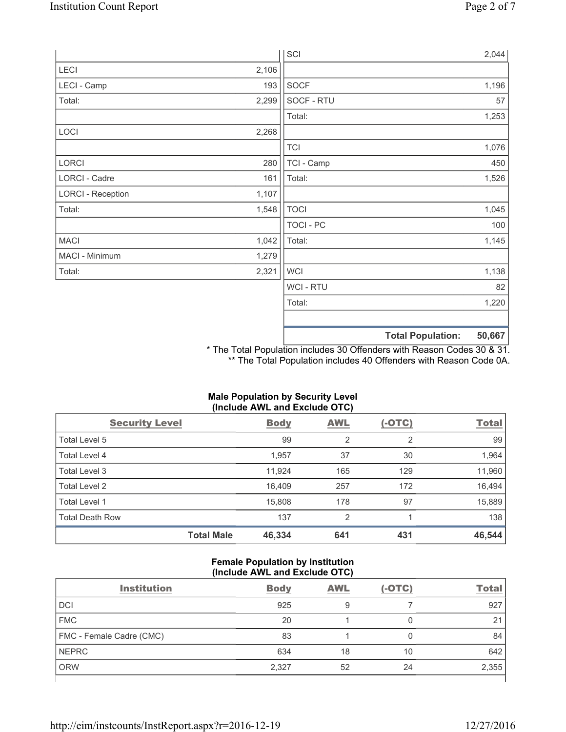|                          |       | SCI            |                          | 2,044  |
|--------------------------|-------|----------------|--------------------------|--------|
| LECI                     | 2,106 |                |                          |        |
| LECI - Camp              | 193   | <b>SOCF</b>    |                          | 1,196  |
| Total:                   | 2,299 | SOCF - RTU     |                          | 57     |
|                          |       | Total:         |                          | 1,253  |
| LOCI                     | 2,268 |                |                          |        |
|                          |       | <b>TCI</b>     |                          | 1,076  |
| LORCI                    | 280   | TCI - Camp     |                          | 450    |
| LORCI - Cadre            | 161   | Total:         |                          | 1,526  |
| <b>LORCI - Reception</b> | 1,107 |                |                          |        |
| Total:                   | 1,548 | <b>TOCI</b>    |                          | 1,045  |
|                          |       | TOCI - PC      |                          | 100    |
| <b>MACI</b>              | 1,042 | Total:         |                          | 1,145  |
| MACI - Minimum           | 1,279 |                |                          |        |
| Total:                   | 2,321 | <b>WCI</b>     |                          | 1,138  |
|                          |       | <b>WCI-RTU</b> |                          | 82     |
|                          |       | Total:         |                          | 1,220  |
|                          |       |                |                          |        |
|                          |       |                | <b>Total Population:</b> | 50,667 |

\* The Total Population includes 30 Offenders with Reason Codes 30 & 31. \*\* The Total Population includes 40 Offenders with Reason Code 0A.

# **Male Population by Security Level (Include AWL and Exclude OTC)**

| <b>Security Level</b>  |                   | <b>Body</b> | <b>AWL</b>     | $(-OTC)$ | <b>Total</b> |
|------------------------|-------------------|-------------|----------------|----------|--------------|
| Total Level 5          |                   | 99          | 2              | 2        | 99           |
| Total Level 4          |                   | 1,957       | 37             | 30       | 1,964        |
| Total Level 3          |                   | 11,924      | 165            | 129      | 11,960       |
| Total Level 2          |                   | 16.409      | 257            | 172      | 16,494       |
| Total Level 1          |                   | 15,808      | 178            | 97       | 15,889       |
| <b>Total Death Row</b> |                   | 137         | $\overline{2}$ |          | 138          |
|                        | <b>Total Male</b> | 46,334      | 641            | 431      | 46,544       |

### **Female Population by Institution (Include AWL and Exclude OTC)**

| <b>Institution</b>       | <b>Body</b> | <b>AWL</b> | $(-OTC)$ | <b>Total</b> |
|--------------------------|-------------|------------|----------|--------------|
| <b>DCI</b>               | 925         | 9          |          | 927          |
| <b>FMC</b>               | 20          |            | 0        | 21           |
| FMC - Female Cadre (CMC) | 83          |            | 0        | 84           |
| <b>NEPRC</b>             | 634         | 18         | 10       | 642          |
| <b>ORW</b>               | 2,327       | 52         | 24       | 2,355        |
|                          |             |            |          |              |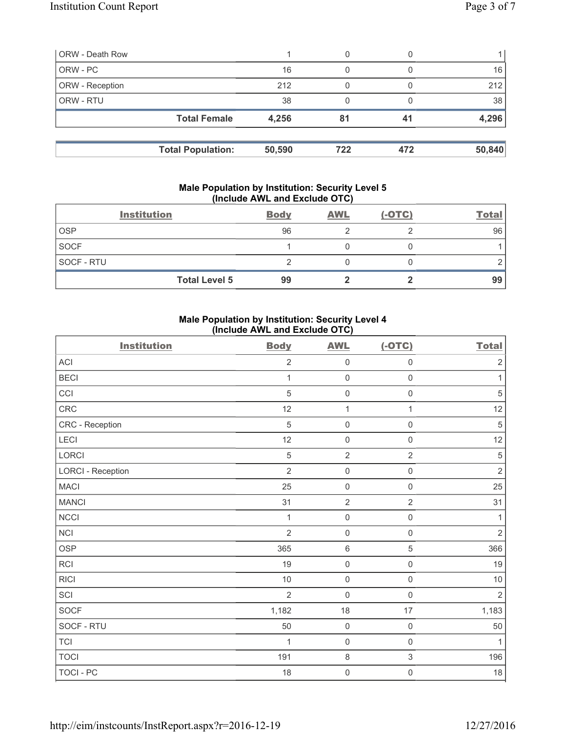| <b>ORW - Death Row</b> |                          |        | 0   |     |        |
|------------------------|--------------------------|--------|-----|-----|--------|
| ORW - PC               |                          | 16     | 0   |     | 16     |
| ORW - Reception        |                          | 212    | 0   |     | 212    |
| ORW - RTU              |                          | 38     |     |     | 38     |
|                        | <b>Total Female</b>      | 4,256  | 81  | 41  | 4,296  |
|                        |                          |        |     |     |        |
|                        | <b>Total Population:</b> | 50,590 | 722 | 472 | 50,840 |

#### **Male Population by Institution: Security Level 5 (Include AWL and Exclude OTC)**

|                   | <b>Institution</b>   | <b>Body</b> | <b>AWL</b> | $(-OTC)$ | <b>Total</b> |
|-------------------|----------------------|-------------|------------|----------|--------------|
| <b>OSP</b>        |                      | 96          |            |          | 96           |
| <b>SOCF</b>       |                      |             |            |          |              |
| <b>SOCF - RTU</b> |                      |             |            |          |              |
|                   | <b>Total Level 5</b> | 99          |            |          | 99           |

### **Male Population by Institution: Security Level 4 (Include AWL and Exclude OTC)**

| <b>Institution</b>       | <b>Body</b>    | <b>AWL</b>          | $(-OTC)$            | <b>Total</b>   |
|--------------------------|----------------|---------------------|---------------------|----------------|
| ACI                      | $\overline{2}$ | $\mathsf{O}\xspace$ | $\mathsf{O}\xspace$ | $\sqrt{2}$     |
| <b>BECI</b>              | 1              | $\mathsf{O}\xspace$ | $\mathsf 0$         | $\mathbf{1}$   |
| CCI                      | 5              | $\mathsf 0$         | $\mathbf 0$         | $\sqrt{5}$     |
| CRC                      | 12             | $\mathbf{1}$        | $\mathbf{1}$        | 12             |
| CRC - Reception          | $\sqrt{5}$     | 0                   | $\mathsf 0$         | $\sqrt{5}$     |
| LECI                     | 12             | $\mathsf{O}\xspace$ | $\mathbf 0$         | 12             |
| LORCI                    | $\overline{5}$ | $\overline{2}$      | $\sqrt{2}$          | $\,$ 5 $\,$    |
| <b>LORCI - Reception</b> | $\overline{2}$ | $\mathsf{O}\xspace$ | $\mathsf{O}\xspace$ | $\mathbf 2$    |
| <b>MACI</b>              | 25             | $\mathsf{O}\xspace$ | $\mathsf 0$         | 25             |
| <b>MANCI</b>             | 31             | $\overline{2}$      | $\overline{2}$      | 31             |
| NCCI                     | $\mathbf{1}$   | $\mathsf 0$         | $\mathsf{O}\xspace$ | 1              |
| <b>NCI</b>               | $\overline{2}$ | $\mathsf 0$         | $\mathbf 0$         | $\overline{2}$ |
| <b>OSP</b>               | 365            | $\,6\,$             | 5                   | 366            |
| RCI                      | 19             | $\mathsf{O}\xspace$ | $\mathsf 0$         | 19             |
| <b>RICI</b>              | $10$           | $\mathsf{O}\xspace$ | $\mathsf 0$         | $10$           |
| SCI                      | $\overline{2}$ | $\mathsf{O}\xspace$ | $\mathbf 0$         | $\overline{2}$ |
| SOCF                     | 1,182          | 18                  | 17                  | 1,183          |
| SOCF - RTU               | 50             | $\mathsf{O}\xspace$ | $\mathsf 0$         | 50             |
| <b>TCI</b>               | 1              | $\mathsf{O}\xspace$ | $\mathsf 0$         | 1              |
| <b>TOCI</b>              | 191            | $\,8\,$             | $\sqrt{3}$          | 196            |
| TOCI - PC                | 18             | 0                   | $\mathbf 0$         | $18\,$         |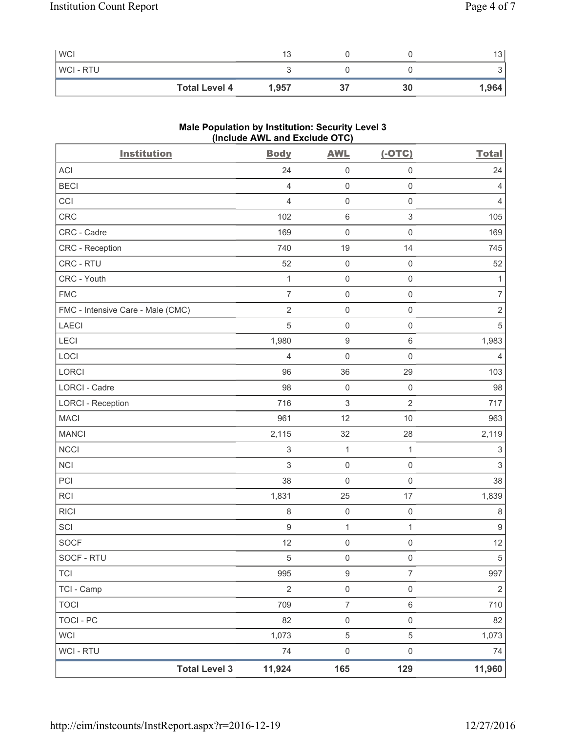| <b>WCI</b>           | 13    |    | $\sim$<br>13 |
|----------------------|-------|----|--------------|
| <b>WCI-RTU</b>       |       |    | ັ            |
| <b>Total Level 4</b> | 1,957 | 30 | 1,964        |

## **Male Population by Institution: Security Level 3 (Include AWL and Exclude OTC)**

| <b>Institution</b>                | <b>Body</b>               | <b>AWL</b>          | $(-OTC)$                  | <b>Total</b>              |
|-----------------------------------|---------------------------|---------------------|---------------------------|---------------------------|
| <b>ACI</b>                        | 24                        | $\mathsf 0$         | $\mathsf{O}\xspace$       | 24                        |
| <b>BECI</b>                       | $\overline{4}$            | $\mathsf 0$         | $\mathsf{O}\xspace$       | 4                         |
| CCI                               | $\overline{4}$            | $\mathsf 0$         | $\mathsf{O}\xspace$       | 4                         |
| CRC                               | 102                       | $\,6\,$             | $\ensuremath{\mathsf{3}}$ | 105                       |
| CRC - Cadre                       | 169                       | $\mathsf 0$         | $\mathsf{O}\xspace$       | 169                       |
| CRC - Reception                   | 740                       | 19                  | 14                        | 745                       |
| CRC - RTU                         | 52                        | $\mathsf{O}\xspace$ | $\mathsf{O}\xspace$       | 52                        |
| CRC - Youth                       | $\mathbf{1}$              | $\mathsf 0$         | $\mathsf{O}\xspace$       | $\mathbf{1}$              |
| <b>FMC</b>                        | $\overline{7}$            | $\mathsf{O}\xspace$ | $\mathsf{O}\xspace$       | $\overline{7}$            |
| FMC - Intensive Care - Male (CMC) | $\sqrt{2}$                | $\mathsf 0$         | $\mathsf{O}\xspace$       | $\sqrt{2}$                |
| LAECI                             | 5                         | $\mathsf 0$         | $\mathsf{O}\xspace$       | $\sqrt{5}$                |
| LECI                              | 1,980                     | $\boldsymbol{9}$    | 6                         | 1,983                     |
| LOCI                              | $\overline{4}$            | $\mathbf 0$         | $\mathsf 0$               | 4                         |
| LORCI                             | 96                        | 36                  | 29                        | 103                       |
| LORCI - Cadre                     | 98                        | $\mathsf{O}\xspace$ | $\mathsf{O}\xspace$       | 98                        |
| <b>LORCI - Reception</b>          | 716                       | $\,$ 3 $\,$         | $\overline{2}$            | 717                       |
| <b>MACI</b>                       | 961                       | 12                  | $10$                      | 963                       |
| <b>MANCI</b>                      | 2,115                     | 32                  | 28                        | 2,119                     |
| <b>NCCI</b>                       | $\ensuremath{\mathsf{3}}$ | $\mathbf{1}$        | $\mathbf{1}$              | $\ensuremath{\mathsf{3}}$ |
| <b>NCI</b>                        | 3                         | $\mathsf{O}\xspace$ | $\mathsf{O}\xspace$       | $\mathsf 3$               |
| PCI                               | 38                        | $\mathsf 0$         | $\mathsf{O}\xspace$       | 38                        |
| <b>RCI</b>                        | 1,831                     | 25                  | $17\,$                    | 1,839                     |
| <b>RICI</b>                       | $\,8\,$                   | $\mathsf{O}\xspace$ | $\mathsf{O}\xspace$       | $\,8\,$                   |
| SCI                               | $\boldsymbol{9}$          | $\mathbf{1}$        | 1                         | $\boldsymbol{9}$          |
| <b>SOCF</b>                       | 12                        | $\mathsf{O}\xspace$ | 0                         | 12                        |
| SOCF - RTU                        | 5                         | $\mathsf{O}\xspace$ | $\mathsf{O}\xspace$       | $\,$ 5 $\,$               |
| <b>TCI</b>                        | 995                       | $\boldsymbol{9}$    | $\overline{7}$            | 997                       |
| TCI - Camp                        | $\overline{2}$            | $\mathsf{O}\xspace$ | $\mathsf{O}\xspace$       | $\overline{2}$            |
| <b>TOCI</b>                       | 709                       | $\boldsymbol{7}$    | 6                         | 710                       |
| <b>TOCI - PC</b>                  | 82                        | $\mathsf 0$         | $\mathsf{O}\xspace$       | 82                        |
| <b>WCI</b>                        | 1,073                     | $\,$ 5 $\,$         | 5                         | 1,073                     |
| WCI - RTU                         | 74                        | $\mathsf{O}\xspace$ | $\mathsf{O}\xspace$       | 74                        |
| <b>Total Level 3</b>              | 11,924                    | 165                 | 129                       | 11,960                    |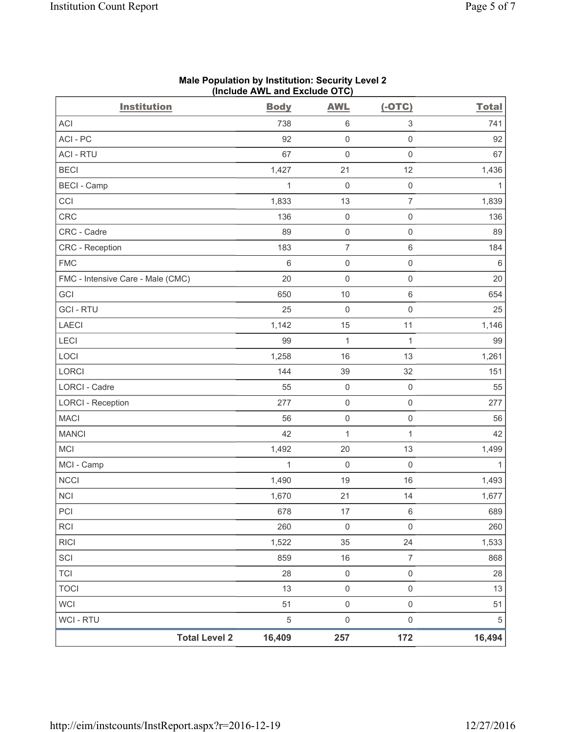| <b>Institution</b>                | $($ molduo AWE and Exolduo OTO $\prime$<br><b>Body</b> | <b>AWL</b>          | $(-OTC)$                  | <b>Total</b> |
|-----------------------------------|--------------------------------------------------------|---------------------|---------------------------|--------------|
| ACI                               | 738                                                    | 6                   | $\ensuremath{\mathsf{3}}$ | 741          |
| ACI - PC                          | 92                                                     | $\mathsf 0$         | $\mathsf 0$               | 92           |
| <b>ACI - RTU</b>                  | 67                                                     | $\mathbf 0$         | $\mathsf 0$               | 67           |
| <b>BECI</b>                       | 1,427                                                  | 21                  | 12                        | 1,436        |
| <b>BECI - Camp</b>                | 1                                                      | $\mathbf 0$         | $\mathbf 0$               | $\mathbf{1}$ |
| CCI                               | 1,833                                                  | 13                  | $\overline{7}$            | 1,839        |
| CRC                               | 136                                                    | $\mathsf{O}\xspace$ | $\mathsf{O}\xspace$       | 136          |
| CRC - Cadre                       | 89                                                     | $\mathsf{O}\xspace$ | $\mathsf{O}\xspace$       | 89           |
| CRC - Reception                   | 183                                                    | $\overline{7}$      | $\,6\,$                   | 184          |
| <b>FMC</b>                        | 6                                                      | $\mathsf{O}\xspace$ | $\mathbf 0$               | $\,6\,$      |
| FMC - Intensive Care - Male (CMC) | 20                                                     | $\mathsf{O}\xspace$ | $\mathsf{O}\xspace$       | 20           |
| GCI                               | 650                                                    | 10                  | $\,6\,$                   | 654          |
| <b>GCI-RTU</b>                    | 25                                                     | $\mathbf 0$         | $\mathbf 0$               | 25           |
| LAECI                             | 1,142                                                  | 15                  | 11                        | 1,146        |
| LECI                              | 99                                                     | 1                   | $\mathbf{1}$              | 99           |
| LOCI                              | 1,258                                                  | 16                  | 13                        | 1,261        |
| LORCI                             | 144                                                    | 39                  | 32                        | 151          |
| LORCI - Cadre                     | 55                                                     | $\mathsf{O}\xspace$ | $\mathsf{O}\xspace$       | 55           |
| <b>LORCI - Reception</b>          | 277                                                    | $\mathsf{O}\xspace$ | $\mathsf 0$               | 277          |
| <b>MACI</b>                       | 56                                                     | $\mathsf{O}\xspace$ | $\mathbf 0$               | 56           |
| <b>MANCI</b>                      | 42                                                     | 1                   | $\mathbf{1}$              | 42           |
| MCI                               | 1,492                                                  | 20                  | 13                        | 1,499        |
| MCI - Camp                        | $\mathbf{1}$                                           | $\mathbf 0$         | $\mathbf 0$               | $\mathbf{1}$ |
| <b>NCCI</b>                       | 1,490                                                  | 19                  | 16                        | 1,493        |
| <b>NCI</b>                        | 1,670                                                  | 21                  | 14                        | 1,677        |
| PCI                               | 678                                                    | $17$                | $\,6\,$                   | 689          |
| <b>RCI</b>                        | 260                                                    | $\mathsf{O}\xspace$ | $\mathbf 0$               | 260          |
| <b>RICI</b>                       | 1,522                                                  | 35                  | 24                        | 1,533        |
| SCI                               | 859                                                    | 16                  | $\overline{7}$            | 868          |
| <b>TCI</b>                        | 28                                                     | $\mathsf 0$         | $\mathsf{O}\xspace$       | 28           |
| <b>TOCI</b>                       | 13                                                     | $\mathsf{O}\xspace$ | $\mathsf{O}\xspace$       | 13           |
| <b>WCI</b>                        | 51                                                     | 0                   | $\mathsf 0$               | 51           |
| WCI - RTU                         | $\sqrt{5}$                                             | $\mathsf{O}\xspace$ | $\mathsf{O}\xspace$       | 5            |
| <b>Total Level 2</b>              | 16,409                                                 | 257                 | 172                       | 16,494       |

#### **Male Population by Institution: Security Level 2 (Include AWL and Exclude OTC)**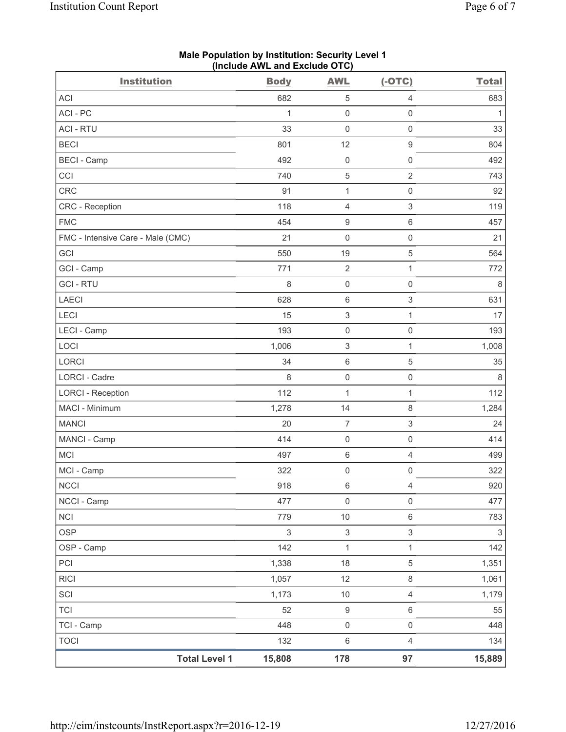| <b>Institution</b>                | $($ molddo $\overline{A}$ me dha Exolddo $\overline{O}$ i $\overline{O}$<br><b>Body</b> | <b>AWL</b>                | $(-OTC)$                  | <b>Total</b>              |
|-----------------------------------|-----------------------------------------------------------------------------------------|---------------------------|---------------------------|---------------------------|
| <b>ACI</b>                        | 682                                                                                     | $\,$ 5 $\,$               | 4                         | 683                       |
| ACI-PC                            | 1                                                                                       | $\mathsf 0$               | $\mathsf{O}\xspace$       | 1                         |
| <b>ACI - RTU</b>                  | 33                                                                                      | $\mathbf 0$               | $\mathsf{O}\xspace$       | 33                        |
| <b>BECI</b>                       | 801                                                                                     | 12                        | $\boldsymbol{9}$          | 804                       |
| <b>BECI - Camp</b>                | 492                                                                                     | $\mathsf 0$               | $\mathsf{O}\xspace$       | 492                       |
| CCI                               | 740                                                                                     | $\,$ 5 $\,$               | $\overline{2}$            | 743                       |
| <b>CRC</b>                        | 91                                                                                      | $\mathbf{1}$              | $\mathsf{O}\xspace$       | 92                        |
| CRC - Reception                   | 118                                                                                     | $\overline{4}$            | $\mathsf 3$               | 119                       |
| <b>FMC</b>                        | 454                                                                                     | $\boldsymbol{9}$          | 6                         | 457                       |
| FMC - Intensive Care - Male (CMC) | 21                                                                                      | $\mathsf{O}\xspace$       | $\mathsf{O}\xspace$       | 21                        |
| GCI                               | 550                                                                                     | 19                        | $\,$ 5 $\,$               | 564                       |
| GCI - Camp                        | 771                                                                                     | $\sqrt{2}$                | $\mathbf{1}$              | 772                       |
| <b>GCI-RTU</b>                    | 8                                                                                       | $\mathsf{O}\xspace$       | $\mathsf{O}\xspace$       | 8                         |
| LAECI                             | 628                                                                                     | $\,6\,$                   | $\ensuremath{\mathsf{3}}$ | 631                       |
| LECI                              | 15                                                                                      | $\ensuremath{\mathsf{3}}$ | $\mathbf{1}$              | 17                        |
| LECI - Camp                       | 193                                                                                     | $\mathsf 0$               | $\mathsf{O}\xspace$       | 193                       |
| LOCI                              | 1,006                                                                                   | $\ensuremath{\mathsf{3}}$ | 1                         | 1,008                     |
| LORCI                             | 34                                                                                      | $\,6\,$                   | $\,$ 5 $\,$               | 35                        |
| LORCI - Cadre                     | 8                                                                                       | $\mathsf{O}\xspace$       | $\mathsf{O}\xspace$       | $\,8\,$                   |
| <b>LORCI - Reception</b>          | 112                                                                                     | $\mathbf{1}$              | $\mathbf{1}$              | 112                       |
| MACI - Minimum                    | 1,278                                                                                   | 14                        | 8                         | 1,284                     |
| <b>MANCI</b>                      | 20                                                                                      | $\overline{7}$            | $\ensuremath{\mathsf{3}}$ | 24                        |
| MANCI - Camp                      | 414                                                                                     | $\mathsf 0$               | $\mathsf{O}\xspace$       | 414                       |
| MCI                               | 497                                                                                     | $\,6\,$                   | $\overline{\mathcal{L}}$  | 499                       |
| MCI - Camp                        | 322                                                                                     | $\mathsf{O}\xspace$       | $\mathsf{O}\xspace$       | 322                       |
| <b>NCCI</b>                       | 918                                                                                     | 6                         | 4                         | 920                       |
| NCCI - Camp                       | 477                                                                                     | $\mathsf{O}\xspace$       | $\mathsf{O}\xspace$       | 477                       |
| <b>NCI</b>                        | 779                                                                                     | $10$                      | 6                         | 783                       |
| <b>OSP</b>                        | $\sqrt{3}$                                                                              | $\ensuremath{\mathsf{3}}$ | $\mathfrak{S}$            | $\ensuremath{\mathsf{3}}$ |
| OSP - Camp                        | 142                                                                                     | $\mathbf 1$               | 1                         | 142                       |
| PCI                               | 1,338                                                                                   | 18                        | 5                         | 1,351                     |
| <b>RICI</b>                       | 1,057                                                                                   | 12                        | 8                         | 1,061                     |
| SCI                               | 1,173                                                                                   | $10$                      | $\overline{4}$            | 1,179                     |
| <b>TCI</b>                        | 52                                                                                      | $\boldsymbol{9}$          | 6                         | 55                        |
| TCI - Camp                        | 448                                                                                     | $\mathsf 0$               | $\mathsf{O}\xspace$       | 448                       |
| <b>TOCI</b>                       | 132                                                                                     | $\,6\,$                   | $\overline{4}$            | 134                       |
| <b>Total Level 1</b>              | 15,808                                                                                  | 178                       | 97                        | 15,889                    |

**Male Population by Institution: Security Level 1 (Include AWL and Exclude OTC)**